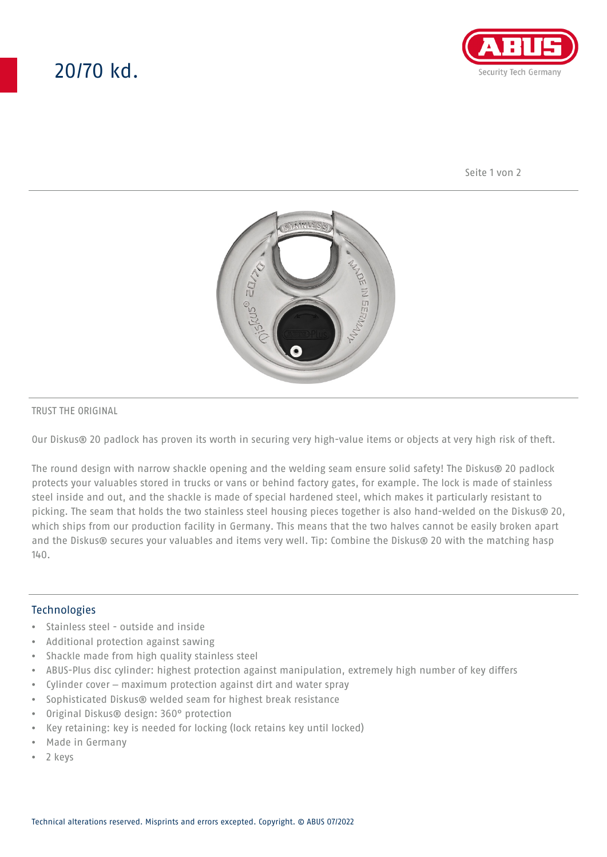# 20/70 kd.



Seite 1 von 2



#### TRUST THE ORIGINAL

Our Diskus® 20 padlock has proven its worth in securing very high-value items or objects at very high risk of theft.

The round design with narrow shackle opening and the welding seam ensure solid safety! The Diskus® 20 padlock protects your valuables stored in trucks or vans or behind factory gates, for example. The lock is made of stainless steel inside and out, and the shackle is made of special hardened steel, which makes it particularly resistant to picking. The seam that holds the two stainless steel housing pieces together is also hand-welded on the Diskus® 20, which ships from our production facility in Germany. This means that the two halves cannot be easily broken apart and the Diskus® secures your valuables and items very well. Tip: Combine the Diskus® 20 with the matching hasp  $140.$ 

### **Technologies**

- Stainless steel outside and inside
- Additional protection against sawing
- Shackle made from high quality stainless steel
- ABUS-Plus disc cylinder: highest protection against manipulation, extremely high number of key differs
- Cylinder cover maximum protection against dirt and water spray
- Sophisticated Diskus® welded seam for highest break resistance
- Original Diskus® design: 360° protection
- Key retaining: key is needed for locking (lock retains key until locked)
- Made in Germany
- 2 keys